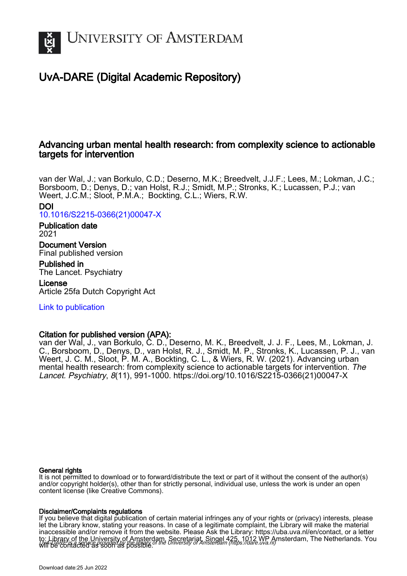

# UvA-DARE (Digital Academic Repository)

# Advancing urban mental health research: from complexity science to actionable targets for intervention

van der Wal, J.; van Borkulo, C.D.; Deserno, M.K.; Breedvelt, J.J.F.; Lees, M.; Lokman, J.C.; Borsboom, D.; Denys, D.; van Holst, R.J.; Smidt, M.P.; Stronks, K.; Lucassen, P.J.; van Weert, J.C.M.; Sloot, P.M.A.; Bockting, C.L.; Wiers, R.W.

# DOI

[10.1016/S2215-0366\(21\)00047-X](https://doi.org/10.1016/S2215-0366(21)00047-X)

## Publication date 2021

Document Version Final published version

Published in The Lancet. Psychiatry

## License

Article 25fa Dutch Copyright Act

# [Link to publication](https://dare.uva.nl/personal/pure/en/publications/advancing-urban-mental-health-research-from-complexity-science-to-actionable-targets-for-intervention(686828bd-6947-4571-9d55-aa0420024592).html)

# Citation for published version (APA):

van der Wal, J., van Borkulo, C. D., Deserno, M. K., Breedvelt, J. J. F., Lees, M., Lokman, J. C., Borsboom, D., Denys, D., van Holst, R. J., Smidt, M. P., Stronks, K., Lucassen, P. J., van Weert, J. C. M., Sloot, P. M. A., Bockting, C. L., & Wiers, R. W. (2021). Advancing urban mental health research: from complexity science to actionable targets for intervention. The Lancet. Psychiatry, 8(11), 991-1000. [https://doi.org/10.1016/S2215-0366\(21\)00047-X](https://doi.org/10.1016/S2215-0366(21)00047-X)

## General rights

It is not permitted to download or to forward/distribute the text or part of it without the consent of the author(s) and/or copyright holder(s), other than for strictly personal, individual use, unless the work is under an open content license (like Creative Commons).

## Disclaimer/Complaints regulations

UvA-DARE is a service provided by the library of the University of Amsterdam (http*s*://dare.uva.nl) If you believe that digital publication of certain material infringes any of your rights or (privacy) interests, please let the Library know, stating your reasons. In case of a legitimate complaint, the Library will make the material inaccessible and/or remove it from the website. Please Ask the Library: https://uba.uva.nl/en/contact, or a letter to: Library of the University of Amsterdam, Secretariat, Singel 425, 1012 WP Amsterdam, The Netherlands. You will be contacted as soon as possible.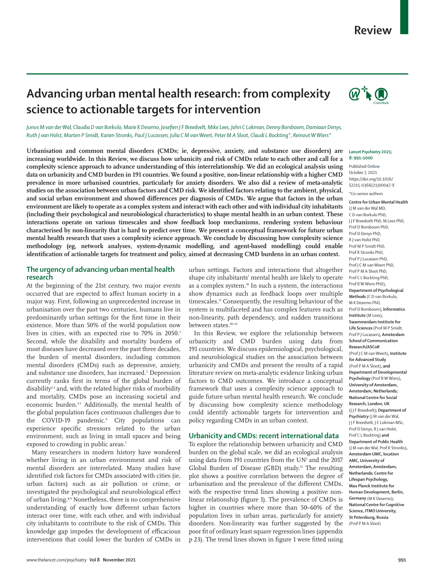# **Review**

# **Advancing urban mental health research: from complexity science to actionable targets for intervention**

*Junus M van der Wal, Claudia D van Borkulo, Marie K Deserno, Josefien J F Breedvelt, Mike Lees, John C Lokman, Denny Borsboom, Damiaan Denys, Ruth J van Holst, Marten P Smidt, Karien Stronks, Paul J Lucassen, Julia C M van Weert, Peter M A Sloot, Claudi L Bockting\*, Reinout W Wiers\**

**Urbanisation and common mental disorders (CMDs; ie, depressive, anxiety, and substance use disorders) are increasing worldwide. In this Review, we discuss how urbanicity and risk of CMDs relate to each other and call for a complexity science approach to advance understanding of this interrelationship. We did an ecological analysis using data on urbanicity and CMD burden in 191 countries. We found a positive, non-linear relationship with a higher CMD prevalence in more urbanised countries, particularly for anxiety disorders. We also did a review of meta-analytic studies on the association between urban factors and CMD risk. We identified factors relating to the ambient, physical, and social urban environment and showed differences per diagnosis of CMDs. We argue that factors in the urban environment are likely to operate as a complex system and interact with each other and with individual city inhabitants (including their psychological and neurobiological characteristics) to shape mental health in an urban context. These interactions operate on various timescales and show feedback loop mechanisms, rendering system behaviour characterised by non-linearity that is hard to predict over time. We present a conceptual framework for future urban mental health research that uses a complexity science approach. We conclude by discussing how complexity science methodology (eg, network analyses, system-dynamic modelling, and agent-based modelling) could enable identification of actionable targets for treatment and policy, aimed at decreasing CMD burdens in an urban context.**

### **The urgency of advancing urban mental health research**

At the beginning of the 21st century, two major events occurred that are expected to affect human society in a major way. First, following an unprecedented increase in urbanisation over the past two centuries, humans live in predominantly urban settings for the first time in their existence. More than 50% of the world population now lives in cities, with an expected rise to 70% in 2050.<sup>1</sup> Second, while the disability and mortality burdens of most diseases have decreased over the past three decades, the burden of mental disorders, including common mental disorders (CMDs) such as depressive, anxiety, and substance use disorders, has increased.<sup>2</sup> Depression currently ranks first in terms of the global burden of disability<sup>2,3</sup> and, with the related higher risks of morbidity and mortality, CMDs pose an increasing societal and economic burden.<sup>4,5</sup> Additionally, the mental health of the global population faces continuous challenges due to the COVID-19 pandemic.<sup>6</sup> City populations can experience specific stressors related to the urban environment, such as living in small spaces and being exposed to crowding in public areas.<sup>7</sup>

Many researchers in modern history have wondered whether living in an urban environment and risk of mental disorders are interrelated. Many studies have identified risk factors for CMDs associated with cities (ie, urban factors) such as air pollution or crime, or investigated the psychological and neurobiological effect of urban living.8,9 Nonetheless, there is no comprehensive understanding of exactly how different urban factors interact over time, with each other, and with individual city inhabitants to contribute to the risk of CMDs. This knowledge gap impedes the development of efficacious interventions that could lower the burden of CMDs in urban settings. Factors and interactions that altogether shape city inhabitants' mental health are likely to operate as a complex system.<sup>10</sup> In such a system, the interactions show dynamics such as feedback loops over multiple timescales.<sup>11</sup> Consequently, the resulting behaviour of the system is multifaceted and has complex features such as non-linearity, path dependency, and sudden transitions between states.10–14

In this Review, we explore the relationship between urbanicity and CMD burden using data from 191 countries. We discuss epidemiological, psychological, and neurobiological studies on the association between urbanicity and CMDs and present the results of a rapid literature review on meta-analytic evidence linking urban factors to CMD outcomes. We introduce a conceptual framework that uses a complexity science approach to guide future urban mental health research. We conclude by discussing how complexity science methodology could identify actionable targets for intervention and policy regarding CMDs in an urban context.

#### **Urbanicity and CMDs: recent international data**

To explore the relationship between urbanicity and CMD burden on the global scale, we did an ecological analysis using data from 191 countries from the  $UN<sup>1</sup>$  and the 2017 Global Burden of Disease (GBD) study.15 The resulting plot shows a positive correlation between the degree of urbanisation and the prevalence of the different CMDs, with the respective trend lines showing a positive nonlinear relationship ([figure 1](https://chart-studio.plotly.com/~mhlees/21/#plot)). The prevalence of CMDs is higher in countries where more than 50–60% of the population lives in urban areas, particularly for anxiety disorders. Non-linearity was further suggested by the poor fit of ordinary least square regression lines (appendix p 23). The trend lines shown in figure 1 were fitted using



#### *Lancet Psychiatry* **2021; 8: 991–1000**

Published **Online** October 7, 2021 https://doi.org/10.1016/ S2215-0366(21)00047-X \*Co-senior authors

**Centre for Urban Mental Health**  (J M van der Wal MD, C D van Borkulo PhD, J J F Breedvelt PhD, M Lees PhD, Prof D Borsboom PhD, Prof D Denys PhD, R J van Holst PhD, Prof M P Smidt PhD, Prof K Stronks PhD, Prof P J Lucassen PhD, Prof J C M van Weert PhD, Prof P M A Sloot PhD, Prof C L Bockting PhD, Prof R W Wiers PhD)**, Department of Psychological Methods** (C D van Borkulo, M K Deserno PhD, Prof D Borsboom)**, Informatics Institute** (M Lees)**, Swammerdam Institute for Life Sciences** (Prof M P Smidt, Prof P J Lucassen)**, Amsterdam School of Communication Research/ASCoR**  (Prof J C M van Weert)**, Institute for Advanced Study**  (Prof P M A Sloot)**, and Department of Developmental Psychology** (Prof R W Wiers)**, University of Amsterdam, Amsterdam, Netherlands; National Centre for Social Research, London, UK** (J J F Breedvelt)**; Department of Psychiatry** (J M van der Wal, J J F Breedvelt, J C Lokman MSc, Prof D Denys, R J van Holst, Prof C L Bockting) **and Department of Public Health**  (J M van der Wal, Prof K Stronks)**, Amsterdam UMC, location AMC, University of Amsterdam, Amsterdam, Netherlands; Centre for Lifespan Psychology, Max Planck Institute for Human Development, Berlin, Germany** (M K Deserno)**; National Centre for Cognitive Science, ITMO University, St Petersburg, Russia** (Prof P M A Sloot)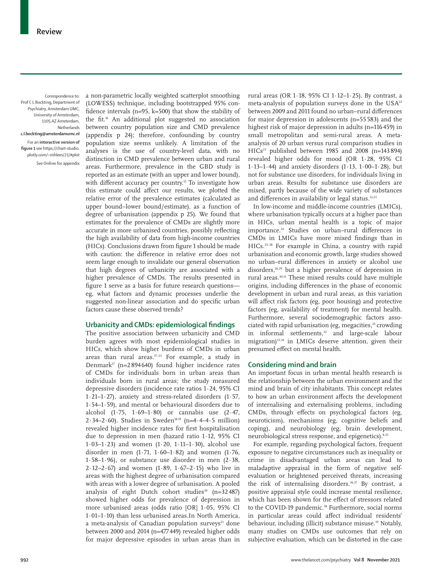Correspondence to: Prof C L Bockting, Department of Psychiatry, Amsterdam UMC, University of Amsterdam, 1105 AZ Amsterdam, Netherlands

**c.l.bockting@amsterdamumc.nl**  For an **interactive version of figure 1** see https://chart-studio. plotly.com/~mhlees/21/#plot

See **Online** for appendix

a non-parametric locally weighted scatterplot smoothing (LOWESS) technique, including bootstrapped 95% confidence intervals (n=95, k=500) that show the stability of the fit.16 An additional plot suggested no association between country population size and CMD prevalence (appendix p 24); therefore, confounding by country population size seems unlikely. A limitation of the analyses is the use of country-level data, with no distinction in CMD prevalence between urban and rural areas. Furthermore, prevalence in the GBD study is reported as an estimate (with an upper and lower bound), with different accuracy per country.<sup>15</sup> To investigate how this estimate could affect our results, we plotted the relative error of the prevalence estimates (calculated as upper bound–lower bound/estimate), as a function of degree of urbanisation (appendix p 25). We found that estimates for the prevalence of CMDs are slightly more accurate in more urbanised countries, possibly reflecting the high availability of data from high-income countries (HICs). Conclusions drawn from figure 1 should be made with caution: the difference in relative error does not seem large enough to invalidate our general observation that high degrees of urbanicity are associated with a higher prevalence of CMDs. The results presented in figure 1 serve as a basis for future research questions eg, what factors and dynamic processes underlie the suggested non-linear association and do specific urban factors cause these observed trends?

#### **Urbanicity and CMDs: epidemiological findings**

The positive association between urbanicity and CMD burden agrees with most epidemiological studies in HICs, which show higher burdens of CMDs in urban areas than rural areas.<sup>17-23</sup> For example, a study in Denmark<sup>17</sup> (n=2894640) found higher incidence rates of CMDs for individuals born in urban areas than individuals born in rural areas; the study measured depressive disorders (incidence rate ratios 1·24, 95% CI 1·21–1·27), anxiety and stress-related disorders (1·57, 1·54–1·59), and mental or behavioural disorders due to alcohol (1·75, 1·69–1·80) or cannabis use (2·47,  $2.34-2.60$ ). Studies in Sweden<sup>18,19</sup> (n=4.4-4.5 million) revealed higher incidence rates for first hospitalisation due to depression in men (hazard ratio 1·12, 95% CI 1·03–1·23) and women (1·20, 1·11–1·30), alcohol use disorder in men (1·71, 1·60–1·82) and women (1·76, 1·58–1·96), or substance use disorder in men  $(2.38,$ 2·12–2·67) and women (1·89, 1·67–2·15) who live in areas with the highest degree of urbanisation compared with areas with a lower degree of urbanisation. A pooled analysis of eight Dutch cohort studies<sup>20</sup>  $(n=32487)$ showed higher odds for prevalence of depression in more urbanised areas (odds ratio [OR] 1·05, 95% CI 1·01–1·10) than less urbanised areas.In North America, a meta-analysis of Canadian population surveys $^{21}$  done between 2000 and 2014 (n=477 449) revealed higher odds for major depressive episodes in urban areas than in rural areas (OR 1·18, 95% CI 1·12–1·25). By contrast, a meta-analysis of population surveys done in the  $USA^{22}$ between 2009 and 2011 found no urban–rural differences for major depression in adolescents (n=55 583) and the highest risk of major depression in adults (n=116 459) in small metropolitan and semi-rural areas. A metaanalysis of 20 urban versus rural comparison studies in HICs23 published between 1985 and 2008 (n=143 894) revealed higher odds for mood (OR 1·28, 95% CI 1·13–1·44) and anxiety disorders (1·13, 1·00–1·28), but not for substance use disorders, for individuals living in urban areas. Results for substance use disorders are mixed, partly because of the wide variety of substances and differences in availability or legal status.<sup>13,23</sup>

In low-income and middle-income countries (LMICs), where urbanisation typically occurs at a higher pace than in HICs, urban mental health is a topic of major importance.<sup>24</sup> Studies on urban–rural differences in CMDs in LMICs have more mixed findings than in HICs.25–28 For example in China, a country with rapid urbanisation and economic growth, large studies showed no urban–rural differences in anxiety or alcohol use disorders,<sup>26,29</sup> but a higher prevalence of depression in rural areas.30,31 These mixed results could have multiple origins, including differences in the phase of economic development in urban and rural areas, as this variation will affect risk factors (eg, poor housing) and protective factors (eg, availability of treatment) for mental health. Furthermore, several sociodemographic factors associated with rapid urbanisation (eg, megacities,<sup>24</sup> crowding in informal settlements,<sup>32</sup> and large-scale labour migration)<sup>33,34</sup> in LMICs deserve attention, given their presumed effect on mental health.

#### **Considering mind and brain**

An important focus in urban mental health research is the relationship between the urban environment and the mind and brain of city inhabitants. This concept relates to how an urban environment affects the development of internalising and externalising problems, including CMDs, through effects on psychological factors (eg, neuroticism), mechanisms (eg, cognitive beliefs and coping), and neurobiology (eg, brain development, neurobiological stress response, and epigenetics).<sup>8,35</sup>

For example, regarding psychological factors, frequent exposure to negative circumstances such as inequality or crime in disadvantaged urban areas can lead to maladaptive appraisal in the form of negative selfevaluation or heightened perceived threats, increasing the risk of internalising disorders.36,37 By contrast, a positive appraisal style could increase mental resilience, which has been shown for the effect of stressors related to the COVID-19 pandemic.<sup>38</sup> Furthermore, social norms in particular areas could affect individual residents' behaviour, including (illicit) substance misuse.<sup>39</sup> Notably, many studies on CMDs use outcomes that rely on subjective evaluation, which can be distorted in the case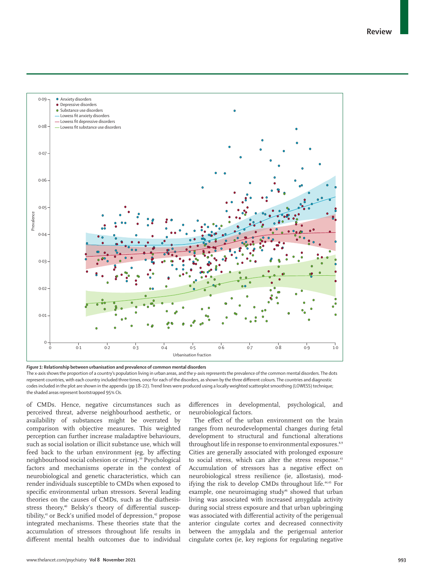**Review**



*Figure 1:* **Relationship between urbanisation and prevalence of common mental disorders**

The x-axis shows the proportion of a country's population living in urban areas, and the y-axis represents the prevalence of the common mental disorders. The dots represent countries, with each country included three times, once for each of the disorders, as shown by the three different colours. The countries and diagnostic codes included in the plot are shown in the appendix (pp 18–22). Trend lines were produced using a locally weighted scatterplot smoothing (LOWESS) technique; the shaded areas represent bootstrapped 95% CIs.

of CMDs. Hence, negative circumstances such as perceived threat, adverse neighbourhood aesthetic, or availability of substances might be overrated by comparison with objective measures. This weighted perception can further increase maladaptive behaviours, such as social isolation or illicit substance use, which will feed back to the urban environment (eg, by affecting neighbourhood social cohesion or crime).<sup>39</sup> Psychological factors and mechanisms operate in the context of neurobiological and genetic characteristics, which can render individuals susceptible to CMDs when exposed to specific environmental urban stressors. Several leading theories on the causes of CMDs, such as the diathesisstress theory,<sup>40</sup> Belsky's theory of differential susceptibility,<sup>41</sup> or Beck's unified model of depression,<sup>42</sup> propose integrated mechanisms. These theories state that the accumulation of stressors throughout life results in different mental health outcomes due to individual differences in developmental, psychological, and neurobiological factors.

The effect of the urban environment on the brain ranges from neurodevelopmental changes during fetal development to structural and functional alterations throughout life in response to environmental exposures.<sup>8,9</sup> Cities are generally associated with prolonged exposure to social stress, which can alter the stress response.<sup>43</sup> Accumulation of stressors has a negative effect on neurobiological stress resilience (ie, allostasis), modifying the risk to develop CMDs throughout life.<sup>44,45</sup> For example, one neuroimaging study<sup>46</sup> showed that urban living was associated with increased amygdala activity during social stress exposure and that urban upbringing was associated with differential activity of the perigenual anterior cingulate cortex and decreased connectivity between the amygdala and the perigenual anterior cingulate cortex (ie, key regions for regulating negative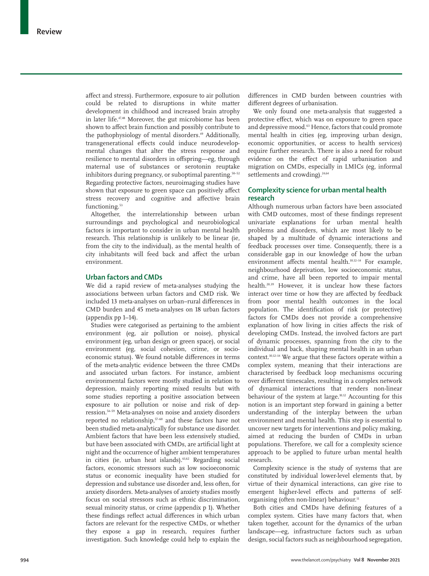affect and stress). Furthermore, exposure to air pollution could be related to disruptions in white matter development in childhood and increased brain atrophy in later life.<sup>47,48</sup> Moreover, the gut microbiome has been shown to affect brain function and possibly contribute to the pathophysiology of mental disorders.<sup>49</sup> Additionally, transgenerational effects could induce neurodevelopmental changes that alter the stress response and resilience to mental disorders in offspring—eg, through maternal use of substances or serotonin reuptake inhibitors during pregnancy, or suboptimal parenting.<sup>50–52</sup> Regarding protective factors, neuroimaging studies have shown that exposure to green space can positively affect stress recovery and cognitive and affective brain functioning.<sup>53</sup>

Altogether, the interrelationship between urban surroundings and psychological and neurobiological factors is important to consider in urban mental health research. This relationship is unlikely to be linear (ie, from the city to the individual), as the mental health of city inhabitants will feed back and affect the urban environment.

### **Urban factors and CMDs**

We did a rapid review of meta-analyses studying the associations between urban factors and CMD risk. We included 13 meta-analyses on urban–rural differences in CMD burden and 45 meta-analyses on 18 urban factors (appendix pp 1–14).

Studies were categorised as pertaining to the ambient environment (eg, air pollution or noise), physical environment (eg, urban design or green space), or social environment (eg, social cohesion, crime, or socioeconomic status). We found notable differences in terms of the meta-analytic evidence between the three CMDs and associated urban factors. For instance, ambient environmental factors were mostly studied in relation to depression, mainly reporting mixed results but with some studies reporting a positive association between exposure to air pollution or noise and risk of depression.54–59 Meta-analyses on noise and anxiety disorders reported no relationship,  $57-60$  and these factors have not been studied meta-analytically for substance use disorder. Ambient factors that have been less extensively studied, but have been associated with CMDs, are artificial light at night and the occurrence of higher ambient temperatures in cities (ie, urban heat islands).<sup>61,62</sup> Regarding social factors, economic stressors such as low socioeconomic status or economic inequality have been studied for depression and substance use disorder and, less often, for anxiety disorders. Meta-analyses of anxiety studies mostly focus on social stressors such as ethnic discrimination, sexual minority status, or crime (appendix p 1). Whether these findings reflect actual differences in which urban factors are relevant for the respective CMDs, or whether they expose a gap in research, requires further investigation. Such knowledge could help to explain the differences in CMD burden between countries with different degrees of urbanisation.

We only found one meta-analysis that suggested a protective effect, which was on exposure to green space and depressive mood.<sup>63</sup> Hence, factors that could promote mental health in cities (eg, improving urban design, economic opportunities, or access to health services) require further research. There is also a need for robust evidence on the effect of rapid urbanisation and migration on CMDs, especially in LMICs (eg, informal settlements and crowding).<sup>24,64</sup>

#### **Complexity science for urban mental health research**

Although numerous urban factors have been associated with CMD outcomes, most of these findings represent univariate explanations for urban mental health problems and disorders, which are most likely to be shaped by a multitude of dynamic interactions and feedback processes over time. Consequently, there is a considerable gap in our knowledge of how the urban environment affects mental health.<sup>10,12-14</sup> For example, neighbourhood deprivation, low socioeconomic status, and crime, have all been reported to impair mental health.20,39 However, it is unclear how these factors interact over time or how they are affected by feedback from poor mental health outcomes in the local population. The identification of risk (or protective) factors for CMDs does not provide a comprehensive explanation of how living in cities affects the risk of developing CMDs. Instead, the involved factors are part of dynamic processes, spanning from the city to the individual and back, shaping mental health in an urban context.10,12–14 We argue that these factors operate within a complex system, meaning that their interactions are characterised by feedback loop mechanisms occuring over different timescales, resulting in a complex network of dynamical interactions that renders non-linear behaviour of the system at large.10,12 Accounting for this notion is an important step forward in gaining a better understanding of the interplay between the urban environment and mental health. This step is essential to uncover new targets for interventions and policy making, aimed at reducing the burden of CMDs in urban populations. Therefore, we call for a complexity science approach to be applied to future urban mental health research.

Complexity science is the study of systems that are constituted by individual lower-level elements that, by virtue of their dynamical interactions, can give rise to emergent higher-level effects and patterns of selforganising (often non-linear) behaviour.<sup>11</sup>

Both cities and CMDs have defining features of a complex system. Cities have many factors that, when taken together, account for the dynamics of the urban landscape—eg, infrastructure factors such as urban design, social factors such as neighbourhood segregation,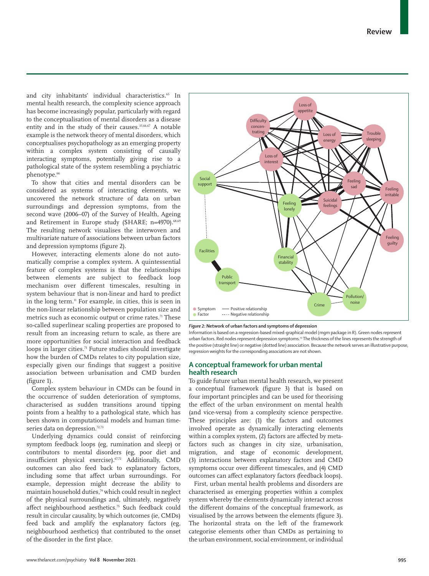and city inhabitants' individual characteristics.<sup>65</sup> In mental health research, the complexity science approach has become increasingly popular, particularly with regard to the conceptualisation of mental disorders as a disease entity and in the study of their causes.<sup>35,66,67</sup> A notable example is the network theory of mental disorders, which conceptualises psychopathology as an emerging property within a complex system consisting of causally interacting symptoms, potentially giving rise to a pathological state of the system resembling a psychiatric phenotype.<sup>66</sup>

To show that cities and mental disorders can be considered as systems of interacting elements, we uncovered the network structure of data on urban surroundings and depression symptoms, from the second wave (2006–07) of the Survey of Health, Ageing and Retirement in Europe study (SHARE; n=4970).<sup>68,69</sup> The resulting network visualises the interwoven and multivariate nature of associations between urban factors and depression symptoms (figure 2).

However, interacting elements alone do not automatically comprise a complex system. A quintessential feature of complex systems is that the relationships between elements are subject to feedback loop mechanism over different timescales, resulting in system behaviour that is non-linear and hard to predict in the long term.11 For example, in cities, this is seen in the non-linear relationship between population size and metrics such as economic output or crime rates.<sup>71</sup> These so-called superlinear scaling properties are proposed to result from an increasing return to scale, as there are more opportunities for social interaction and feedback loops in larger cities.<sup>71</sup> Future studies should investigate how the burden of CMDs relates to city population size, especially given our findings that suggest a positive association between urbanisation and CMD burden (figure 1).

Complex system behaviour in CMDs can be found in the occurrence of sudden deterioration of symptoms, characterised as sudden transitions around tipping points from a healthy to a pathological state, which has been shown in computational models and human timeseries data on depression.<sup>72,73</sup>

Underlying dynamics could consist of reinforcing symptom feedback loops (eg, rumination and sleep) or contributors to mental disorders (eg, poor diet and insufficient physical exercise).67,72 Additionally, CMD outcomes can also feed back to explanatory factors, including some that affect urban surroundings. For example, depression might decrease the ability to maintain household duties,<sup>74</sup> which could result in neglect of the physical surroundings and, ultimately, negatively affect neighbourhood aesthetics.<sup>75</sup> Such feedback could result in circular causality, by which outcomes (ie, CMDs) feed back and amplify the explanatory factors (eg, neighbourhood aesthetics) that contributed to the onset of the disorder in the first place.



#### *Figure 2:* **Network of urban factors and symptoms of depression**

Information is based on a regression-based mixed-graphical model (mgm package in R). Green nodes represent urban factors. Red nodes represent depression symptoms.70 The thickness of the lines represents the strength of the positive (straight line) or negative (dotted line) association. Because the network serves an illustrative purpose, regression weights for the corresponding associations are not shown.

#### **A conceptual framework for urban mental health research**

To guide future urban mental health research, we present a conceptual framework (figure 3) that is based on four important principles and can be used for theorising the effect of the urban environment on mental health (and vice-versa) from a complexity science perspective. These principles are: (1) the factors and outcomes involved operate as dynamically interacting elements within a complex system, (2) factors are affected by metafactors such as changes in city size, urbanisation, migration, and stage of economic development, (3) interactions between explanatory factors and CMD symptoms occur over different timescales, and (4) CMD outcomes can affect explanatory factors (feedback loops).

First, urban mental health problems and disorders are characterised as emerging properties within a complex system whereby the elements dynamically interact across the different domains of the conceptual framework, as visualised by the arrows between the elements (figure 3). The horizontal strata on the left of the framework categorise elements other than CMDs as pertaining to the urban environment, social environment, or individual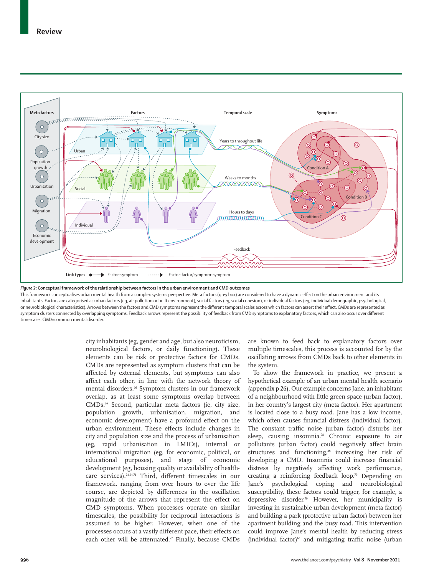

*Figure 3:* **Conceptual framework of the relationship between factors in the urban environment and CMD outcomes**

This framework conceptualises urban mental health from a complex systems perspective. Meta factors (grey box) are considered to have a dynamic effect on the urban environment and its inhabitants. Factors are categorised as urban factors (eg, air pollution or built environment), social factors (eg, social cohesion), or individual factors (eg, individual demographic, psychological, or neurobiological characteristics). Arrows between the factors and CMD symptoms represent the different temporal scales across which factors can assert their effect. CMDs are represented as symptom clusters connected by overlapping symptoms. Feedback arrows represent the possibility of feedback from CMD symptoms to explanatory factors, which can also occur over different timescales. CMD=common mental disorder.

> city inhabitants (eg, gender and age, but also neuroticism, neurobiological factors, or daily functioning). These elements can be risk or protective factors for CMDs. CMDs are represented as symptom clusters that can be affected by external elements, but symptoms can also affect each other, in line with the network theory of mental disorders.<sup>66</sup> Symptom clusters in our framework overlap, as at least some symptoms overlap between CMDs.76 Second, particular meta factors (ie, city size, population growth, urbanisation, migration, and economic development) have a profound effect on the urban environment. These effects include changes in city and population size and the process of urbanisation (eg, rapid urbanisation in LMICs), internal or international migration (eg, for economic, political, or educational purposes), and stage of economic development (eg, housing quality or availability of healthcare services).<sup>24,64,71</sup> Third, different timescales in our framework, ranging from over hours to over the life course, are depicted by differences in the oscillation magnitude of the arrows that represent the effect on CMD symptoms. When processes operate on similar timescales, the possibility for reciprocal interactions is assumed to be higher. However, when one of the processes occurs at a vastly different pace, their effects on each other will be attenuated. $\pi$  Finally, because CMDs

are known to feed back to explanatory factors over multiple timescales, this process is accounted for by the oscillating arrows from CMDs back to other elements in the system.

To show the framework in practice, we present a hypothetical example of an urban mental health scenario (appendix p 26). Our example concerns Jane, an inhabitant of a neighbourhood with little green space (urban factor), in her country's largest city (meta factor). Her apartment is located close to a busy road. Jane has a low income, which often causes financial distress (individual factor). The constant traffic noise (urban factor) disturbs her sleep, causing insomnia.<sup>78</sup> Chronic exposure to air pollutants (urban factor) could negatively affect brain structures and functioning,<sup>48</sup> increasing her risk of developing a CMD. Insomnia could increase financial distress by negatively affecting work performance, creating a reinforcing feedback loop.<sup>79</sup> Depending on Jane's psychological coping and neurobiological susceptibility, these factors could trigger, for example, a depressive disorder.79 However, her municipality is investing in sustainable urban development (meta factor) and building a park (protective urban factor) between her apartment building and the busy road. This intervention could improve Jane's mental health by reducing stress  $(individual factor)^{63}$  and mitigating traffic noise  $(urban)$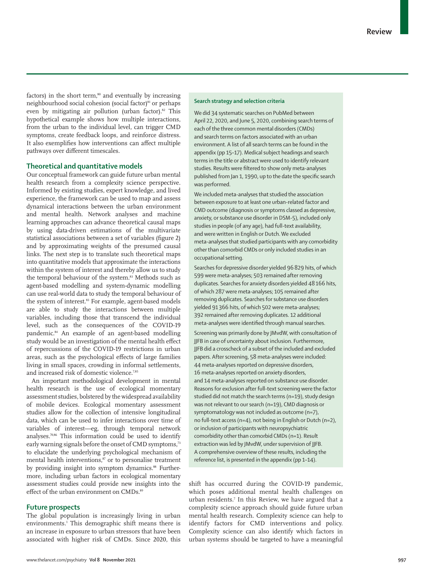factors) in the short term, $\delta$ <sup>0</sup> and eventually by increasing neighbourhood social cohesion (social factor)<sup>81</sup> or perhaps even by mitigating air pollution (urban factor).<sup>82</sup> This hypothetical example shows how multiple interactions, from the urban to the individual level, can trigger CMD symptoms, create feedback loops, and reinforce distress. It also exemplifies how interventions can affect multiple pathways over different timescales.

### **Theoretical and quantitative models**

Our conceptual framework can guide future urban mental health research from a complexity science perspective. Informed by existing studies, expert knowledge, and lived experience, the framework can be used to map and assess dynamical interactions between the urban environment and mental health. Network analyses and machine learning approaches can advance theoretical causal maps by using data-driven estimations of the multivariate statistical associations between a set of variables (figure 2) and by approximating weights of the presumed causal links. The next step is to translate such theoretical maps into quantitative models that approximate the interactions within the system of interest and thereby allow us to study the temporal behaviour of the system.<sup>83</sup> Methods such as agent-based modelling and system-dynamic modelling can use real-world data to study the temporal behaviour of the system of interest.<sup>83</sup> For example, agent-based models are able to study the interactions between multiple variables, including those that transcend the individual level, such as the consequences of the COVID-19 pandemic.<sup>84</sup> An example of an agent-based modelling study would be an investigation of the mental health effect of repercussions of the COVID-19 restrictions in urban areas, such as the psychological effects of large families living in small spaces, crowding in informal settlements, and increased risk of domestic violence.<sup>7,85</sup>

An important methodological development in mental health research is the use of ecological momentary assessment studies, bolstered by the widespread availability of mobile devices. Ecological momentary assessment studies allow for the collection of intensive longitudinal data, which can be used to infer interactions over time of variables of interest—eg, through temporal network analyses.70,86 This information could be used to identify early warning signals before the onset of CMD symptoms,<sup>73</sup> to elucidate the underlying psychological mechanism of mental health interventions, $\frac{s}{s}$  or to personalise treatment by providing insight into symptom dynamics.<sup>88</sup> Furthermore, including urban factors in ecological momentary assessment studies could provide new insights into the effect of the urban environment on CMDs.<sup>89</sup>

#### **Future prospects**

The global population is increasingly living in urban environments.<sup>1</sup> This demographic shift means there is an increase in exposure to urban stressors that have been associated with higher risk of CMDs. Since 2020, this

#### **Search strategy and selection criteria**

We did 34 systematic searches on PubMed between April 22, 2020, and June 5, 2020, combining search terms of each of the three common mental disorders (CMDs) and search terms on factors associated with an urban environment. A list of all search terms can be found in the appendix (pp 15–17). Medical subject headings and search terms in the title or abstract were used to identify relevant studies. Results were filtered to show only meta-analyses published from Jan 1, 1990, up to the date the specific search was performed.

We included meta-analyses that studied the association between exposure to at least one urban-related factor and CMD outcome (diagnosis or symptoms classed as depressive, anxiety, or substance use disorder in DSM-5), included only studies in people (of any age), had full-text availability, and were written in English or Dutch. We excluded meta-analyses that studied participants with any comorbidity other than comorbid CMDs or only included studies in an occupational setting.

Searches for depressive disorder yielded 96829 hits, of which 599 were meta-analyses; 503 remained after removing duplicates. Searches for anxiety disorders yielded 48166 hits, of which 287 were meta-analyses; 105 remained after removing duplicates. Searches for substance use disorders yielded 91 366 hits, of which 502 were meta-analyses; 392 remained after removing duplicates. 12 additional meta-analyses were identified through manual searches. Screening was primarily done by JMvdW, with consultation of JJFB in case of uncertainty about inclusion. Furthermore, JJFB did a crosscheck of a subset of the included and excluded papers. After screening, 58 meta-analyses were included: 44 meta-analyses reported on depressive disorders, 16 meta-analyses reported on anxiety disorders, and 14 meta-analyses reported on substance use disorder. Reasons for exclusion after full-text screening were the factor studied did not match the search terms (n=19), study design was not relevant to our search (n=19), CMD diagnosis or symptomatology was not included as outcome (n=7), no full-text access (n=4), not being in English or Dutch (n=2), or inclusion of participants with neuropsychiatric comorbidity other than comorbid CMDs (n=1). Result extraction was led by JMvdW, under supervision of JJFB.

reference list, is presented in the appendix (pp 1–14).

A comprehensive overview of these results, including the

shift has occurred during the COVID-19 pandemic, which poses additional mental health challenges on urban residents.<sup>7</sup> In this Review, we have argued that a complexity science approach should guide future urban mental health research. Complexity science can help to identify factors for CMD interventions and policy. Complexity science can also identify which factors in urban systems should be targeted to have a meaningful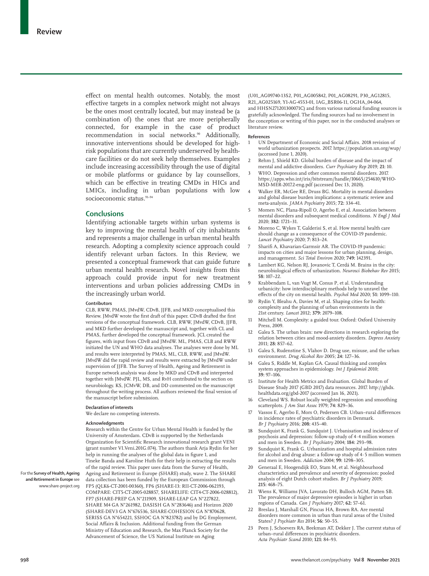effect on mental health outcomes. Notably, the most effective targets in a complex network might not always be the ones most centrally located, but may instead be (a combination of) the ones that are more peripherally connected, for example in the case of product recommendation in social networks.<sup>90</sup> Additionally, innovative interventions should be developed for highrisk populations that are currently underserved by healthcare facilities or do not seek help themselves. Examples include increasing accessibility through the use of digital or mobile platforms or guidance by lay counsellors, which can be effective in treating CMDs in HICs and LMICs, including in urban populations with low socioeconomic status.<sup>91-94</sup>

#### **Conclusions**

Identifying actionable targets within urban systems is key to improving the mental health of city inhabitants and represents a major challenge in urban mental health research. Adopting a complexity science approach could identify relevant urban factors. In this Review, we presented a conceptual framework that can guide future urban mental health research. Novel insights from this approach could provide input for new treatment interventions and urban policies addressing CMDs in the increasingly urban world.

#### **Contributors**

CLB, RWW, PMAS, JMvdW, CDvB, JJFB, and MKD conceptualised this Review. JMvdW wrote the first draft of this paper. CDvB drafted the first versions of the conceptual framework. CLB, RWW, JMvdW, CDvB, JJFB, and MKD further developed the manuscript and, together with CL and PMAS, further developed the conceptual framework. JCL created the figures, with input from CDvB and JMvdW. ML, PMAS, CLB and RWW initiated the UN and WHO data analyses. The analyses were done by ML and results were interpreted by PMAS, ML, CLB, RWW, and JMvdW. JMvdW did the rapid review and results were extracted by JMvdW under supervision of JJFB. The Survey of Health, Ageing and Retirement in Europe network analysis was done by MKD and CDvB and interpreted together with JMvdW. PJL, MS, and RvH contributed to the section on neurobiology. KS, JCMvW, DB, and DD commented on the manuscript throughout the writing process. All authors reviewed the final version of the manuscript before submission.

#### **Declaration of interests**

We declare no competing interests.

#### **Acknowledgments**

Research within the Centre for Urban Mental Health is funded by the University of Amsterdam. CDvB is supported by the Netherlands Organization for Scientific Research innovational research grant VENI (grant number VI.Veni.201G.074). The authors thank Arja Rydin for her help in running the analyses of the global data in figure 1, and Tineke Banda and Karoline Huth for their help in extracting the results of the rapid review. This paper uses data from the Survey of Health, Ageing and Retirement in Europe [\(SHARE\)](http://www.share-project.org) study, wave 2. The SHARE data collection has been funded by the European Commission through FP5 (QLK6-CT-2001-00360), FP6 (SHARE-I3: RII-CT-2006-062193, COMPARE: CIT5-CT-2005-028857, SHARELIFE: CIT4-CT-2006-028812), FP7 (SHARE-PREP GA N°211909, SHARE-LEAP GA N°227822, SHARE M4 GA N°261982, DASISH GA N°283646) and Horizon 2020 (SHARE-DEV3 GA N°676536, SHARE-COHESION GA N°870628, SERISS GA N°654221, SSHOC GA N°823782) and by DG Employment, Social Affairs & Inclusion. Additional funding from the German Ministry of Education and Research, the Max Planck Society for the Advancement of Science, the US National Institute on Aging

(U01\_AG09740-13S2, P01\_AG005842, P01\_AG08291, P30\_AG12815, R21\_AG025169, Y1-AG-4553-01, IAG\_BSR06-11, OGHA\_04-064, and HHSN271201300071C) and from various national funding sources is gratefully acknowledged. The funding sources had no involvement in the conception or writing of this paper, nor in the conducted analyses or literature review.

#### **References**

- 1 UN Department of Economic and Social Affairs. 2018 revision of world urbanization prospects. 2017. https://population.un.org/wup/ (accessed June 1,  $2020$ ).
- Rehm J, Shield KD. Global burden of disease and the impact of mental and addictive disorders. *Curr Psychiatry Rep* 2019; **21:** 10.
- 3 WHO. Depression and other common mental disorders. 2017. https://apps.who.int/iris/bitstream/handle/10665/254610/WHO-MSD-MER-2017.2-eng.pdf (accessed Dec 13, 2020).
- 4 Walker ER, McGee RE, Druss BG. Mortality in mental disorders and global disease burden implications: a systematic review and meta-analysis. *JAMA Psychiatry* 2015; **72:** 334–41.
- 5 Momen NC, Plana-Ripoll O, Agerbo E, et al. Association between mental disorders and subsequent medical conditions. *N Engl J Med* 2020; **382:** 1721–31.
- 6 Moreno C, Wykes T, Galderisi S, et al. How mental health care should change as a consequence of the COVID-19 pandemic. *Lancet Psychiatry* 2020; **7:** 813–24.
- Sharifi A, Khavarian-Garmsir AR. The COVID-19 pandemic: impacts on cities and major lessons for urban planning, design, and management. *Sci Total Environ* 2020; **749:** 142391.
- Lambert KG, Nelson RJ, Jovanovic T, Cerdá M. Brains in the city: neurobiological effects of urbanization. *Neurosci Biobehav Rev* 2015; **58:** 107–22.
- 9 Krabbendam L, van Vugt M, Conus P, et al. Understanding urbanicity: how interdisciplinary methods help to unravel the effects of the city on mental health. *Psychol Med* 2020; **51:** 1099–110.
- Rydin Y, Bleahu A, Davies M, et al. Shaping cities for health: complexity and the planning of urban environments in the 21st century. *Lancet* 2012; **379:** 2079–108.
- 11 Mitchell M. Complexity: a guided tour. Oxford: Oxford University Press, 2009.
- Galea S. The urban brain: new directions in research exploring the relation between cities and mood-anxiety disorders. *Depress Anxiety* 2011; **28:** 857–62.
- 13 Galea S, Rudenstine S, Vlahov D. Drug use, misuse, and the urban environment. *Drug Alcohol Rev* 2005; **24:** 127–36.
- 14 Galea S, Riddle M, Kaplan GA. Causal thinking and complex system approaches in epidemiology. *Int J Epidemiol* 2010; **39:** 97–106.
- 15 Institute for Health Metrics and Evaluation. Global Burden of Disease Study 2017 (GBD 2017) data resources. 2017. http://ghdx. healthdata.org/gbd-2017 (accessed Jan 16, 2021).
- 16 Cleveland WS. Robust locally weighted regression and smoothing scatterplots. *J Am Stat Assoc* 1979; **74:** 829–36.
- 17 Vassos E, Agerbo E, Mors O, Pedersen CB. Urban–rural differences in incidence rates of psychiatric disorders in Denmark. *Br J Psychiatry* 2016; **208:** 435–40.
- 18 Sundquist K, Frank G, Sundquist J. Urbanisation and incidence of psychosis and depression: follow-up study of 4·4 million women and men in Sweden. *Br J Psychiatry* 2004; **184:** 293–98.
- Sundquist K, Frank G. Urbanization and hospital admission rates for alcohol and drug abuse: a follow-up study of 4·5 million women and men in Sweden. *Addiction* 2004; **99:** 1298–305.
- 20 Generaal E, Hoogendijk EO, Stam M, et al. Neighbourhood characteristics and prevalence and severity of depression: pooled analysis of eight Dutch cohort studies. *Br J Psychiatry* 2019; **215:** 468–75.
- 21 Wiens K, Williams JVA, Lavorato DH, Bulloch AGM, Patten SB. The prevalence of major depressive episodes is higher in urban regions of Canada. *Can J Psychiatry* 2017; **62:** 57–61.
- 22 Breslau J, Marshall GN, Pincus HA, Brown RA. Are mental disorders more common in urban than rural areas of the United States? *J Psychiatr Res* 2014; **56:** 50–55.
- Peen J, Schoevers RA, Beekman AT, Dekker J. The current status of urban–rural differences in psychiatric disorders. *Acta Psychiatr Scand* 2010; **121:** 84–93.

For the **Survey of Health, Ageing and Retirement in Europe** see www.share-project.org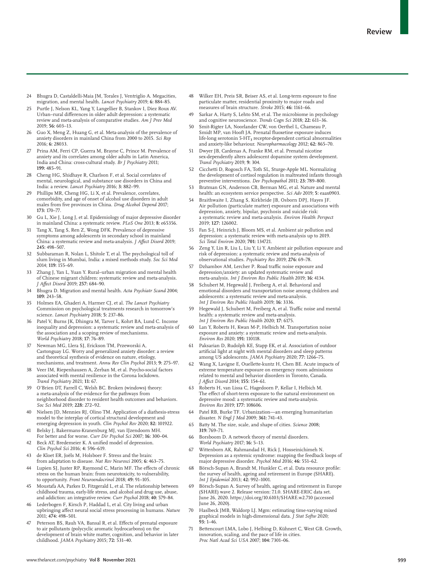- 24 Bhugra D, Castaldelli-Maia JM, Torales J, Ventriglio A. Megacities, migration, and mental health. *Lancet Psychiatry* 2019; **6:** 884–85.
- 25 Purtle J, Nelson KL, Yang Y, Langellier B, Stankov I, Diez Roux AV. Urban–rural differences in older adult depression: a systematic review and meta-analysis of comparative studies. *Am J Prev Med* 2019; **56:** 603–13.
- 26 Guo X, Meng Z, Huang G, et al. Meta-analysis of the prevalence of anxiety disorders in mainland China from 2000 to 2015. *Sci Rep* 2016; **6:** 28033.
- 27 Prina AM, Ferri CP, Guerra M, Brayne C, Prince M. Prevalence of anxiety and its correlates among older adults in Latin America, India and China: cross-cultural study. *Br J Psychiatry* 2011; **199:** 485–91.
- 28 Cheng HG, Shidhaye R, Charlson F, et al. Social correlates of mental, neurological, and substance use disorders in China and India: a review. *Lancet Psychiatry* 2016; **3:** 882–99.
- 29 Phillips MR, Cheng HG, Li X, et al. Prevalence, correlates, comorbidity, and age of onset of alcohol use disorders in adult males from five provinces in China. *Drug Alcohol Depend* 2017; **173:** 170–77.
- 30 Gu L, Xie J, Long J, et al. Epidemiology of major depressive disorder in mainland China: a systematic review. *PLoS One* 2013; **8:** e65356.
- 31 Tang X, Tang S, Ren Z, Wong DFK. Prevalence of depressive symptoms among adolescents in secondary school in mainland China: a systematic review and meta-analysis. *J Affect Disord* 2019; **245:** 498–507.
- 32 Subbaraman R, Nolan L, Shitole T, et al. The psychological toll of slum living in Mumbai, India: a mixed methods study. *Soc Sci Med* 2014; **119:** 155–69.
- Zhang J, Yan L, Yuan Y. Rural–urban migration and mental health of Chinese migrant children: systematic review and meta-analysis. *J Affect Disord* 2019; **257:** 684–90.
- 34 Bhugra D. Migration and mental health. *Acta Psychiatr Scand* 2004; **109:** 243–58.
- 35 Holmes EA, Ghaderi A, Harmer CJ, et al. *The Lancet Psychiatry* Commission on psychological treatments research in tomorrow's science. *Lancet Psychiatry* 2018; **5:** 237–86.
- 36 Patel V, Burns JK, Dhingra M, Tarver L, Kohrt BA, Lund C. Income inequality and depression: a systematic review and meta-analysis of the association and a scoping review of mechanisms. *World Psychiatry* 2018; **17:** 76–89.
- 37 Newman MG, Llera SJ, Erickson TM, Przeworski A, Castonguay LG. Worry and generalized anxiety disorder: a review and theoretical synthesis of evidence on nature, etiology, mechanisms, and treatment. *Annu Rev Clin Psychol* 2013; **9:** 275–97.
- 38 Veer IM, Riepenhausen A, Zerban M, et al. Psycho-social factors associated with mental resilience in the Corona lockdown. *Transl Psychiatry* 2021; **11:** 67.
- 39 O'Brien DT, Farrell C, Welsh BC. Broken (windows) theory: a meta-analysis of the evidence for the pathways from neighborhood disorder to resident health outcomes and behaviors. *Soc Sci Med* 2019; **228:** 272–92.
- 40 Nielsen JD, Mennies RJ, Olino TM. Application of a diathesis-stress model to the interplay of cortical structural development and emerging depression in youth. *Clin Psychol Rev* 2020; **82:** 101922.
- 41 Belsky J, Bakermans-Kranenburg MJ, van IJzendoorn MH. For better and for worse. *Curr Dir Psychol Sci* 2007; **16:** 300–04.
- 42 Beck AT, Bredemeier K. A unified model of depression. *Clin Psychol Sci* 2016; **4:** 596–619.
- 43 de Kloet ER, Joëls M, Holsboer F. Stress and the brain: from adaptation to disease. *Nat Rev Neurosci* 2005; **6:** 463–75.
- Lupien SJ, Juster RP, Raymond C, Marin MF. The effects of chronic stress on the human brain: from neurotoxicity, to vulnerability, to opportunity. *Front Neuroendocrinol* 2018; **49:** 91–105.
- 45 Moustafa AA, Parkes D, Fitzgerald L, et al. The relationship between childhood trauma, early-life stress, and alcohol and drug use, abuse, and addiction: an integrative review. *Curr Psychol* 2018; **40:** 579–84.
- Lederbogen F, Kirsch P, Haddad L, et al. City living and urban upbringing affect neural social stress processing in humans. *Nature* 2011; **474:** 498–501.
- 47 Peterson BS, Rauh VA, Bansal R, et al. Effects of prenatal exposure to air pollutants (polycyclic aromatic hydrocarbons) on the development of brain white matter, cognition, and behavior in later childhood. *JAMA Psychiatry* 2015; **72:** 531–40.
- Wilker EH, Preis SR, Beiser AS, et al. Long-term exposure to fine particulate matter, residential proximity to major roads and measures of brain structure. *Stroke* 2015; **46:** 1161–66.
- 49 Sarkar A, Harty S, Lehto SM, et al. The microbiome in psychology and cognitive neuroscience. *Trends Cogn Sci* 2018; **22:** 611–36.
- Smit-Rigter LA, Noorlander CW, von Oerthel L, Chameau P, Smidt MP, van Hooft JA. Prenatal fluoxetine exposure induces life-long serotonin 5-HT<sub>3</sub> receptor-dependent cortical abnormalities and anxiety-like behaviour. *Neuropharmacology* 2012; **62:** 865–70.
- 51 Dwyer JB, Cardenas A, Franke RM, et al. Prenatal nicotine sex-dependently alters adolescent dopamine system development. *Transl Psychiatry* 2019; **9:** 304.
- 52 Cicchetti D, Rogosch FA, Toth SL, Sturge-Apple ML. Normalizing the development of cortisol regulation in maltreated infants through preventive interventions. *Dev Psychopathol* 2011; **23:** 789–800.
- 53 Bratman GN, Anderson CB, Berman MG, et al. Nature and mental health: an ecosystem service perspective. *Sci Adv* 2019; **5:** eaax0903.
- 54 Braithwaite I, Zhang S, Kirkbride JB, Osborn DPJ, Hayes JF. Air pollution (particulate matter) exposure and associations with depression, anxiety, bipolar, psychosis and suicide risk: a systematic review and meta-analysis. *Environ Health Perspect* 2019; **127:** 126002.
- 55 Fan S-J, Heinrich J, Bloom MS, et al. Ambient air pollution and depression: a systematic review with meta-analysis up to 2019. *Sci Total Environ* 2020; **701:** 134721.
- 56 Zeng Y, Lin R, Liu L, Liu Y, Li Y. Ambient air pollution exposure and risk of depression: a systematic review and meta-analysis of observational studies. *Psychiatry Res* 2019; **276:** 69–78.
- Dzhambov AM, Lercher P. Road traffic noise exposure and depression/anxiety: an updated systematic review and meta-analysis. *Int J Environ Res Public Health* 2019; **16:** 4134.
- 58 Schubert M, Hegewald J, Freiberg A, et al. Behavioral and emotional disorders and transportation noise among children and adolescents: a systematic review and meta-analysis. *Int J Environ Res Public Health* 2019; **16:** 3336.
- Hegewald J, Schubert M, Freiberg A, et al. Traffic noise and mental health: a systematic review and meta-analysis. *Int J Environ Res Public Health* 2020; **17:** 6175.
- 60 Lan Y, Roberts H, Kwan M-P, Helbich M. Transportation noise exposure and anxiety: a systematic review and meta-analysis. *Environ Res* 2020; **191:** 110118.
- 61 Paksarian D, Rudolph KE, Stapp EK, et al. Association of outdoor artificial light at night with mental disorders and sleep patterns among US adolescents. *JAMA Psychiatry* 2020; **77:** 1266–75.
- 62 Wang X, Lavigne E, Ouellette-kuntz H, Chen BE. Acute impacts of extreme temperature exposure on emergency room admissions related to mental and behavior disorders in Toronto, Canada. *J Affect Disord* 2014; **155:** 154–61.
- 63 Roberts H, van Lissa C, Hagedoorn P, Kellar I, Helbich M. The effect of short-term exposure to the natural environment on depressive mood: a systematic review and meta-analysis. *Environ Res* 2019; **177:** 108606.
- Patel RB, Burke TF. Urbanization-an emerging humanitarian disaster. *N Engl J Med* 2009; **361:** 741–43.
- 65 Batty M. The size, scale, and shape of cities. *Science* 2008; **319:** 769–71.
- 66 Borsboom D. A network theory of mental disorders. *World Psychiatry* 2017; **16:** 5–13.
- 67 Wittenborn AK, Rahmandad H, Rick J, Hosseinichimeh N. Depression as a systemic syndrome: mapping the feedback loops of major depressive disorder. *Psychol Med* 2016; **46:** 551–62.
- 68 Börsch-Supan A, Brandt M, Hunkler C, et al. Data resource profile: the survey of health, ageing and retirement in Europe (SHARE). *Int J Epidemiol* 2013; **42:** 992–1001.
- 69 Börsch-Supan A. Survey of health, ageing and retirement in Europe (SHARE) wave 2. Release version: 7.1.0. SHARE-ERIC data set. June 26, 2020. https://doi.org/10.6103/SHARE.w2.710 (accessed June 26, 2020).
- Haslbeck JMB, Waldorp LJ. Mgm: estimating time-varying mixed graphical models in high-dimensional data. *J Stat Softw* 2020; **93:** 1–46.
- 71 Bettencourt LMA, Lobo J, Helbing D, Kühnert C, West GB. Growth, innovation, scaling, and the pace of life in cities. *Proc Natl Acad Sci USA* 2007; **104:** 7301–06.